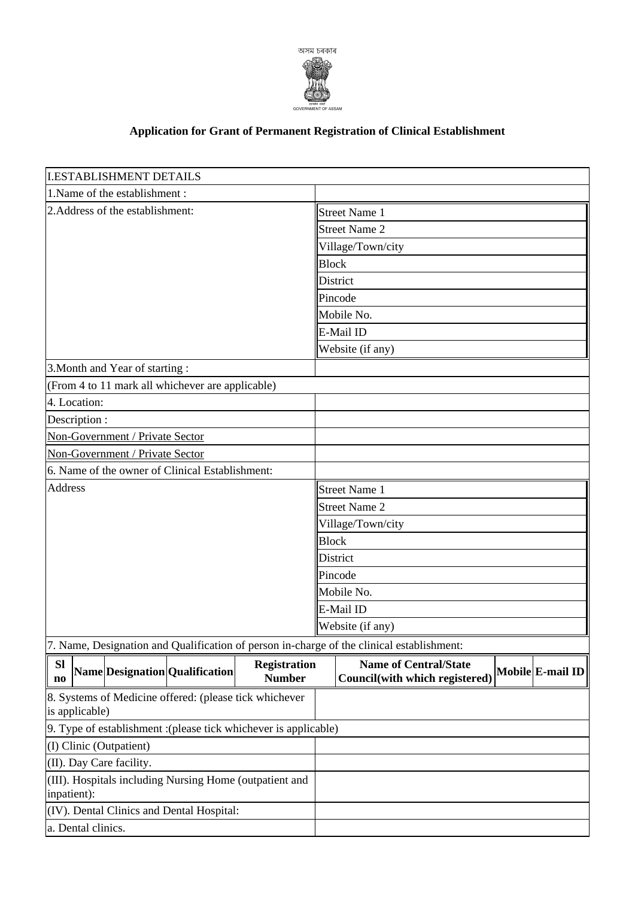

## **Application for Grant of Permanent Registration of Clinical Establishment**

| <b>I.ESTABLISHMENT DETAILS</b>                                         |                                 |                                                        |                     |                      |                                                                                           |  |                  |  |  |
|------------------------------------------------------------------------|---------------------------------|--------------------------------------------------------|---------------------|----------------------|-------------------------------------------------------------------------------------------|--|------------------|--|--|
| 1. Name of the establishment:                                          |                                 |                                                        |                     |                      |                                                                                           |  |                  |  |  |
| 2. Address of the establishment:                                       |                                 |                                                        |                     |                      | Street Name 1                                                                             |  |                  |  |  |
|                                                                        |                                 |                                                        |                     |                      | Street Name 2                                                                             |  |                  |  |  |
|                                                                        |                                 |                                                        |                     |                      | Village/Town/city                                                                         |  |                  |  |  |
|                                                                        |                                 |                                                        |                     |                      | <b>Block</b>                                                                              |  |                  |  |  |
|                                                                        |                                 |                                                        |                     |                      | District                                                                                  |  |                  |  |  |
|                                                                        |                                 |                                                        |                     |                      | Pincode                                                                                   |  |                  |  |  |
|                                                                        |                                 |                                                        |                     |                      | Mobile No.                                                                                |  |                  |  |  |
|                                                                        |                                 |                                                        |                     |                      | E-Mail ID                                                                                 |  |                  |  |  |
|                                                                        |                                 |                                                        |                     |                      | Website (if any)                                                                          |  |                  |  |  |
|                                                                        | 3. Month and Year of starting:  |                                                        |                     |                      |                                                                                           |  |                  |  |  |
|                                                                        |                                 | (From 4 to 11 mark all whichever are applicable)       |                     |                      |                                                                                           |  |                  |  |  |
| 4. Location:                                                           |                                 |                                                        |                     |                      |                                                                                           |  |                  |  |  |
| Description :                                                          |                                 |                                                        |                     |                      |                                                                                           |  |                  |  |  |
|                                                                        | Non-Government / Private Sector |                                                        |                     |                      |                                                                                           |  |                  |  |  |
|                                                                        | Non-Government / Private Sector |                                                        |                     |                      |                                                                                           |  |                  |  |  |
| 6. Name of the owner of Clinical Establishment:                        |                                 |                                                        |                     |                      |                                                                                           |  |                  |  |  |
| Address                                                                |                                 |                                                        |                     | Street Name 1        |                                                                                           |  |                  |  |  |
|                                                                        |                                 |                                                        |                     | <b>Street Name 2</b> |                                                                                           |  |                  |  |  |
|                                                                        |                                 |                                                        |                     | Village/Town/city    |                                                                                           |  |                  |  |  |
|                                                                        |                                 |                                                        |                     | <b>Block</b>         |                                                                                           |  |                  |  |  |
|                                                                        |                                 |                                                        |                     | District             |                                                                                           |  |                  |  |  |
|                                                                        |                                 |                                                        |                     | Pincode              |                                                                                           |  |                  |  |  |
|                                                                        |                                 |                                                        |                     | Mobile No.           |                                                                                           |  |                  |  |  |
|                                                                        |                                 |                                                        |                     | E-Mail ID            |                                                                                           |  |                  |  |  |
|                                                                        |                                 |                                                        |                     | Website (if any)     |                                                                                           |  |                  |  |  |
|                                                                        |                                 |                                                        |                     |                      | 7. Name, Designation and Qualification of person in-charge of the clinical establishment: |  |                  |  |  |
| <b>SI</b>                                                              |                                 |                                                        | <b>Registration</b> |                      | <b>Name of Central/State</b>                                                              |  |                  |  |  |
| $\mathbf{n}\mathbf{o}$                                                 |                                 | Name Designation Qualification                         | <b>Number</b>       |                      | Council(with which registered)                                                            |  | Mobile E-mail ID |  |  |
|                                                                        |                                 | 8. Systems of Medicine offered: (please tick whichever |                     |                      |                                                                                           |  |                  |  |  |
| is applicable)                                                         |                                 |                                                        |                     |                      |                                                                                           |  |                  |  |  |
| 9. Type of establishment : (please tick whichever is applicable)       |                                 |                                                        |                     |                      |                                                                                           |  |                  |  |  |
| (I) Clinic (Outpatient)                                                |                                 |                                                        |                     |                      |                                                                                           |  |                  |  |  |
| (II). Day Care facility.                                               |                                 |                                                        |                     |                      |                                                                                           |  |                  |  |  |
| (III). Hospitals including Nursing Home (outpatient and<br>inpatient): |                                 |                                                        |                     |                      |                                                                                           |  |                  |  |  |
| (IV). Dental Clinics and Dental Hospital:                              |                                 |                                                        |                     |                      |                                                                                           |  |                  |  |  |
|                                                                        |                                 |                                                        |                     |                      |                                                                                           |  |                  |  |  |
| a. Dental clinics.                                                     |                                 |                                                        |                     |                      |                                                                                           |  |                  |  |  |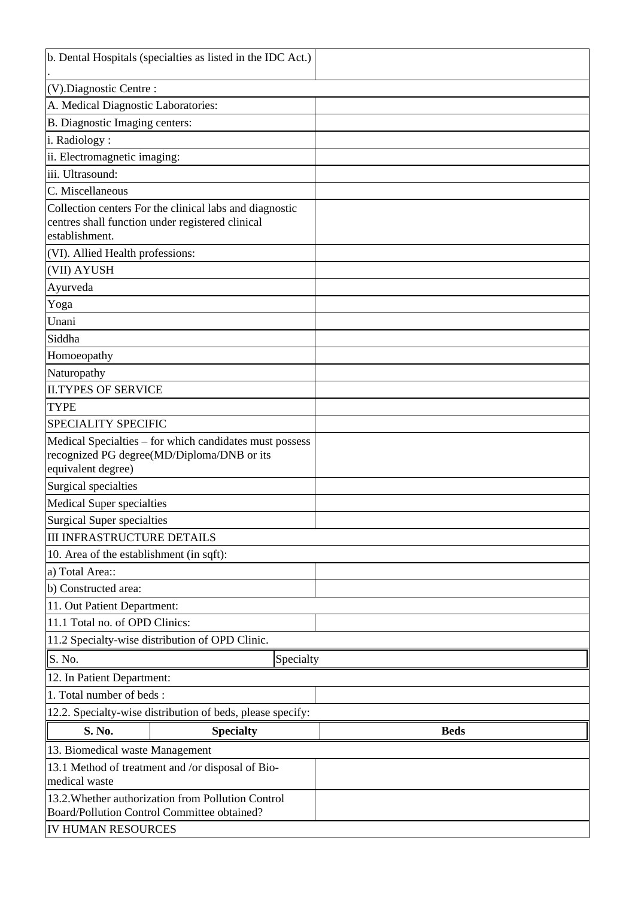| b. Dental Hospitals (specialties as listed in the IDC Act.) |                                                         |             |  |  |  |  |  |  |
|-------------------------------------------------------------|---------------------------------------------------------|-------------|--|--|--|--|--|--|
| $(V)$ . Diagnostic Centre :                                 |                                                         |             |  |  |  |  |  |  |
| A. Medical Diagnostic Laboratories:                         |                                                         |             |  |  |  |  |  |  |
|                                                             | B. Diagnostic Imaging centers:                          |             |  |  |  |  |  |  |
| i. Radiology:                                               |                                                         |             |  |  |  |  |  |  |
| ii. Electromagnetic imaging:                                |                                                         |             |  |  |  |  |  |  |
| iii. Ultrasound:                                            |                                                         |             |  |  |  |  |  |  |
| C. Miscellaneous                                            |                                                         |             |  |  |  |  |  |  |
|                                                             | Collection centers For the clinical labs and diagnostic |             |  |  |  |  |  |  |
|                                                             | centres shall function under registered clinical        |             |  |  |  |  |  |  |
| establishment.                                              |                                                         |             |  |  |  |  |  |  |
| (VI). Allied Health professions:                            |                                                         |             |  |  |  |  |  |  |
| (VII) AYUSH                                                 |                                                         |             |  |  |  |  |  |  |
| Ayurveda                                                    |                                                         |             |  |  |  |  |  |  |
| Yoga                                                        |                                                         |             |  |  |  |  |  |  |
| Unani                                                       |                                                         |             |  |  |  |  |  |  |
| Siddha                                                      |                                                         |             |  |  |  |  |  |  |
| Homoeopathy                                                 |                                                         |             |  |  |  |  |  |  |
| Naturopathy                                                 |                                                         |             |  |  |  |  |  |  |
| <b>II.TYPES OF SERVICE</b>                                  |                                                         |             |  |  |  |  |  |  |
| <b>TYPE</b>                                                 |                                                         |             |  |  |  |  |  |  |
| <b>SPECIALITY SPECIFIC</b>                                  |                                                         |             |  |  |  |  |  |  |
|                                                             | Medical Specialties – for which candidates must possess |             |  |  |  |  |  |  |
| recognized PG degree(MD/Diploma/DNB or its                  |                                                         |             |  |  |  |  |  |  |
| equivalent degree)                                          |                                                         |             |  |  |  |  |  |  |
| Surgical specialties                                        |                                                         |             |  |  |  |  |  |  |
| <b>Medical Super specialties</b>                            |                                                         |             |  |  |  |  |  |  |
| Surgical Super specialties                                  |                                                         |             |  |  |  |  |  |  |
| <b>III INFRASTRUCTURE DETAILS</b>                           |                                                         |             |  |  |  |  |  |  |
| 10. Area of the establishment (in sqft):                    |                                                         |             |  |  |  |  |  |  |
|                                                             | a) Total Area::                                         |             |  |  |  |  |  |  |
| b) Constructed area:                                        |                                                         |             |  |  |  |  |  |  |
| 11. Out Patient Department:                                 |                                                         |             |  |  |  |  |  |  |
|                                                             | 11.1 Total no. of OPD Clinics:                          |             |  |  |  |  |  |  |
|                                                             | 11.2 Specialty-wise distribution of OPD Clinic.         |             |  |  |  |  |  |  |
| $\ S. No.$                                                  | Specialty                                               |             |  |  |  |  |  |  |
| 12. In Patient Department:                                  |                                                         |             |  |  |  |  |  |  |
| 1. Total number of beds:                                    |                                                         |             |  |  |  |  |  |  |
| 12.2. Specialty-wise distribution of beds, please specify:  |                                                         |             |  |  |  |  |  |  |
| S. No.                                                      | <b>Specialty</b>                                        | <b>Beds</b> |  |  |  |  |  |  |
| 13. Biomedical waste Management                             |                                                         |             |  |  |  |  |  |  |
| 13.1 Method of treatment and /or disposal of Bio-           |                                                         |             |  |  |  |  |  |  |
| medical waste                                               |                                                         |             |  |  |  |  |  |  |
| 13.2. Whether authorization from Pollution Control          |                                                         |             |  |  |  |  |  |  |
| Board/Pollution Control Committee obtained?                 |                                                         |             |  |  |  |  |  |  |
| IV HUMAN RESOURCES                                          |                                                         |             |  |  |  |  |  |  |